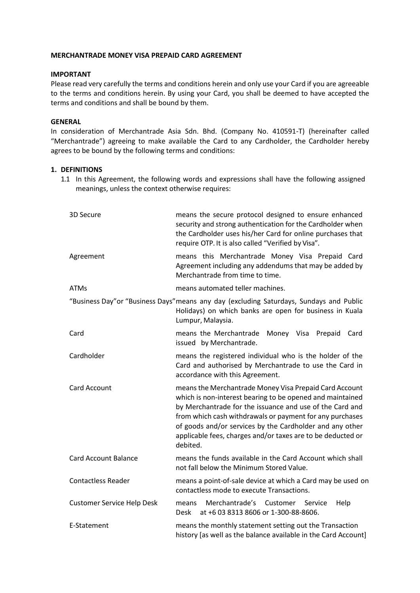### **MERCHANTRADE MONEY VISA PREPAID CARD AGREEMENT**

# **IMPORTANT**

Please read very carefully the terms and conditions herein and only use your Card if you are agreeable to the terms and conditions herein. By using your Card, you shall be deemed to have accepted the terms and conditions and shall be bound by them.

# **GENERAL**

In consideration of Merchantrade Asia Sdn. Bhd. (Company No. 410591-T) (hereinafter called "Merchantrade") agreeing to make available the Card to any Cardholder, the Cardholder hereby agrees to be bound by the following terms and conditions:

### **1. DEFINITIONS**

1.1 In this Agreement, the following words and expressions shall have the following assigned meanings, unless the context otherwise requires:

| 3D Secure                         | means the secure protocol designed to ensure enhanced<br>security and strong authentication for the Cardholder when<br>the Cardholder uses his/her Card for online purchases that<br>require OTP. It is also called "Verified by Visa".                                                                                                                                            |
|-----------------------------------|------------------------------------------------------------------------------------------------------------------------------------------------------------------------------------------------------------------------------------------------------------------------------------------------------------------------------------------------------------------------------------|
| Agreement                         | means this Merchantrade Money Visa Prepaid Card<br>Agreement including any addendums that may be added by<br>Merchantrade from time to time.                                                                                                                                                                                                                                       |
| <b>ATMs</b>                       | means automated teller machines.                                                                                                                                                                                                                                                                                                                                                   |
|                                   | "Business Day" or "Business Days" means any day (excluding Saturdays, Sundays and Public<br>Holidays) on which banks are open for business in Kuala<br>Lumpur, Malaysia.                                                                                                                                                                                                           |
| Card                              | means the Merchantrade Money Visa Prepaid<br>Card<br>issued by Merchantrade.                                                                                                                                                                                                                                                                                                       |
| Cardholder                        | means the registered individual who is the holder of the<br>Card and authorised by Merchantrade to use the Card in<br>accordance with this Agreement.                                                                                                                                                                                                                              |
| <b>Card Account</b>               | means the Merchantrade Money Visa Prepaid Card Account<br>which is non-interest bearing to be opened and maintained<br>by Merchantrade for the issuance and use of the Card and<br>from which cash withdrawals or payment for any purchases<br>of goods and/or services by the Cardholder and any other<br>applicable fees, charges and/or taxes are to be deducted or<br>debited. |
| <b>Card Account Balance</b>       | means the funds available in the Card Account which shall<br>not fall below the Minimum Stored Value.                                                                                                                                                                                                                                                                              |
| <b>Contactless Reader</b>         | means a point-of-sale device at which a Card may be used on<br>contactless mode to execute Transactions.                                                                                                                                                                                                                                                                           |
| <b>Customer Service Help Desk</b> | Merchantrade's<br>Help<br>means<br>Customer<br>Service<br>at +6 03 8313 8606 or 1-300-88-8606.<br>Desk                                                                                                                                                                                                                                                                             |
| E-Statement                       | means the monthly statement setting out the Transaction<br>history [as well as the balance available in the Card Account]                                                                                                                                                                                                                                                          |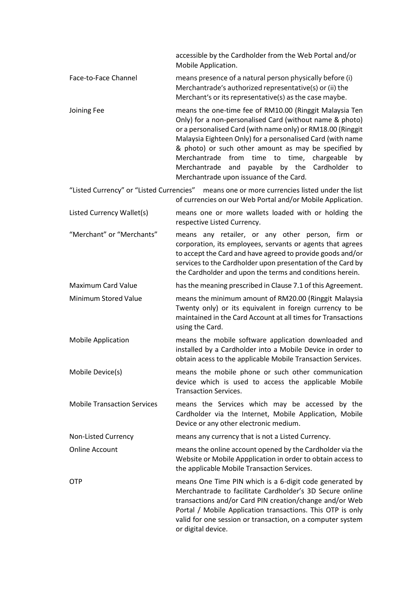accessible by the Cardholder from the Web Portal and/or Mobile Application.

- Face-to-Face Channel means presence of a natural person physically before (i) Merchantrade's authorized representative(s) or (ii) the Merchant's or its representative(s) as the case maybe.
- Joining Fee means the one-time fee of RM10.00 (Ringgit Malaysia Ten Only) for a non-personalised Card (without name & photo) or a personalised Card (with name only) or RM18.00 (Ringgit Malaysia Eighteen Only) for a personalised Card (with name & photo) or such other amount as may be specified by Merchantrade from time to time, chargeable by Merchantrade and payable by the Cardholder to Merchantrade upon issuance of the Card.
- "Listed Currency" or "Listed Currencies" means one or more currencies listed under the list of currencies on our Web Portal and/or Mobile Application.
- Listed Currency Wallet(s) means one or more wallets loaded with or holding the respective Listed Currency.
- "Merchant" or "Merchants" means any retailer, or any other person, firm or corporation, its employees, servants or agents that agrees to accept the Card and have agreed to provide goods and/or services to the Cardholder upon presentation of the Card by the Cardholder and upon the terms and conditions herein.
- Maximum Card Value has the meaning prescribed in Clause 7.1 of this Agreement.
- Minimum Stored Value means the minimum amount of RM20.00 (Ringgit Malaysia Twenty only) or its equivalent in foreign currency to be maintained in the Card Account at all times for Transactions using the Card.
- Mobile Application means the mobile software application downloaded and installed by a Cardholder into a Mobile Device in order to obtain acess to the applicable Mobile Transaction Services.
- Mobile Device(s) means the mobile phone or such other communication device which is used to access the applicable Mobile Transaction Services.
- Mobile Transaction Services means the Services which may be accessed by the Cardholder via the Internet, Mobile Application, Mobile Device or any other electronic medium.
- Non-Listed Currency means any currency that is not a Listed Currency.
- Online Account means the online account opened by the Cardholder via the Website or Mobile Appplication in order to obtain access to the applicable Mobile Transaction Services.
- OTP means One Time PIN which is a 6-digit code generated by Merchantrade to facilitate Cardholder's 3D Secure online transactions and/or Card PIN creation/change and/or Web Portal / Mobile Application transactions. This OTP is only valid for one session or transaction, on a computer system or digital device.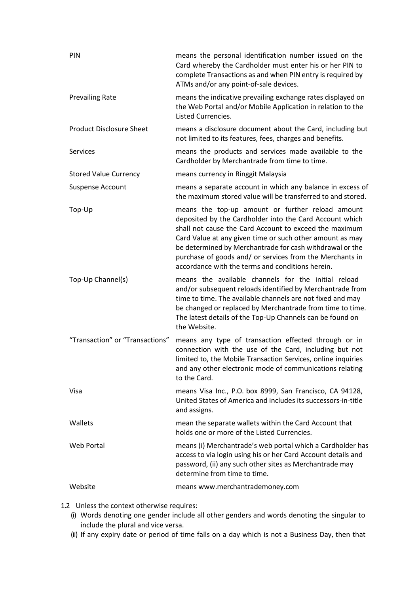| PIN                             | means the personal identification number issued on the<br>Card whereby the Cardholder must enter his or her PIN to<br>complete Transactions as and when PIN entry is required by<br>ATMs and/or any point-of-sale devices.                                                                                                                                                                                    |
|---------------------------------|---------------------------------------------------------------------------------------------------------------------------------------------------------------------------------------------------------------------------------------------------------------------------------------------------------------------------------------------------------------------------------------------------------------|
| <b>Prevailing Rate</b>          | means the indicative prevailing exchange rates displayed on<br>the Web Portal and/or Mobile Application in relation to the<br>Listed Currencies.                                                                                                                                                                                                                                                              |
| <b>Product Disclosure Sheet</b> | means a disclosure document about the Card, including but<br>not limited to its features, fees, charges and benefits.                                                                                                                                                                                                                                                                                         |
| <b>Services</b>                 | means the products and services made available to the<br>Cardholder by Merchantrade from time to time.                                                                                                                                                                                                                                                                                                        |
| <b>Stored Value Currency</b>    | means currency in Ringgit Malaysia                                                                                                                                                                                                                                                                                                                                                                            |
| Suspense Account                | means a separate account in which any balance in excess of<br>the maximum stored value will be transferred to and stored.                                                                                                                                                                                                                                                                                     |
| Top-Up                          | means the top-up amount or further reload amount<br>deposited by the Cardholder into the Card Account which<br>shall not cause the Card Account to exceed the maximum<br>Card Value at any given time or such other amount as may<br>be determined by Merchantrade for cash withdrawal or the<br>purchase of goods and/ or services from the Merchants in<br>accordance with the terms and conditions herein. |
| Top-Up Channel(s)               | means the available channels for the initial reload<br>and/or subsequent reloads identified by Merchantrade from<br>time to time. The available channels are not fixed and may<br>be changed or replaced by Merchantrade from time to time.<br>The latest details of the Top-Up Channels can be found on<br>the Website.                                                                                      |
| "Transaction" or "Transactions" | means any type of transaction effected through or in<br>connection with the use of the Card, including but not<br>limited to, the Mobile Transaction Services, online inquiries<br>and any other electronic mode of communications relating<br>to the Card.                                                                                                                                                   |
| Visa                            | means Visa Inc., P.O. box 8999, San Francisco, CA 94128,<br>United States of America and includes its successors-in-title<br>and assigns.                                                                                                                                                                                                                                                                     |
| Wallets                         | mean the separate wallets within the Card Account that<br>holds one or more of the Listed Currencies.                                                                                                                                                                                                                                                                                                         |
| <b>Web Portal</b>               | means (i) Merchantrade's web portal which a Cardholder has<br>access to via login using his or her Card Account details and<br>password, (ii) any such other sites as Merchantrade may<br>determine from time to time.                                                                                                                                                                                        |
| Website                         | means www.merchantrademoney.com                                                                                                                                                                                                                                                                                                                                                                               |
|                                 |                                                                                                                                                                                                                                                                                                                                                                                                               |

1.2 Unless the context otherwise requires:

- (i) Words denoting one gender include all other genders and words denoting the singular to include the plural and vice versa.
- (ii) If any expiry date or period of time falls on a day which is not a Business Day, then that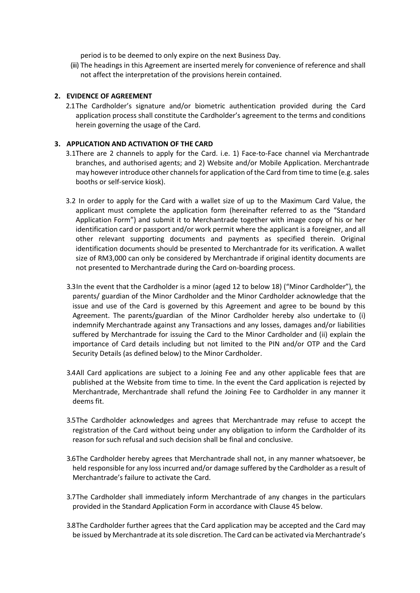period is to be deemed to only expire on the next Business Day.

(iii) The headings in this Agreement are inserted merely for convenience of reference and shall not affect the interpretation of the provisions herein contained.

# **2. EVIDENCE OF AGREEMENT**

2.1The Cardholder's signature and/or biometric authentication provided during the Card application process shall constitute the Cardholder's agreement to the terms and conditions herein governing the usage of the Card.

# **3. APPLICATION AND ACTIVATION OF THE CARD**

- 3.1There are 2 channels to apply for the Card. i.e. 1) Face-to-Face channel via Merchantrade branches, and authorised agents; and 2) Website and/or Mobile Application. Merchantrade may however introduce other channels for application of the Card from time to time (e.g. sales booths or self-service kiosk).
- 3.2 In order to apply for the Card with a wallet size of up to the Maximum Card Value, the applicant must complete the application form (hereinafter referred to as the "Standard Application Form") and submit it to Merchantrade together with image copy of his or her identification card or passport and/or work permit where the applicant is a foreigner, and all other relevant supporting documents and payments as specified therein. Original identification documents should be presented to Merchantrade for its verification. A wallet size of RM3,000 can only be considered by Merchantrade if original identity documents are not presented to Merchantrade during the Card on-boarding process.
- 3.3In the event that the Cardholder is a minor (aged 12 to below 18) ("Minor Cardholder"), the parents/ guardian of the Minor Cardholder and the Minor Cardholder acknowledge that the issue and use of the Card is governed by this Agreement and agree to be bound by this Agreement. The parents/guardian of the Minor Cardholder hereby also undertake to (i) indemnify Merchantrade against any Transactions and any losses, damages and/or liabilities suffered by Merchantrade for issuing the Card to the Minor Cardholder and (ii) explain the importance of Card details including but not limited to the PIN and/or OTP and the Card Security Details (as defined below) to the Minor Cardholder.
- 3.4All Card applications are subject to a Joining Fee and any other applicable fees that are published at the Website from time to time. In the event the Card application is rejected by Merchantrade, Merchantrade shall refund the Joining Fee to Cardholder in any manner it deems fit.
- 3.5The Cardholder acknowledges and agrees that Merchantrade may refuse to accept the registration of the Card without being under any obligation to inform the Cardholder of its reason for such refusal and such decision shall be final and conclusive.
- 3.6The Cardholder hereby agrees that Merchantrade shall not, in any manner whatsoever, be held responsible for any loss incurred and/or damage suffered by the Cardholder as a result of Merchantrade's failure to activate the Card.
- 3.7The Cardholder shall immediately inform Merchantrade of any changes in the particulars provided in the Standard Application Form in accordance with Clause 45 below.
- 3.8The Cardholder further agrees that the Card application may be accepted and the Card may be issued by Merchantrade at its sole discretion. The Card can be activated via Merchantrade's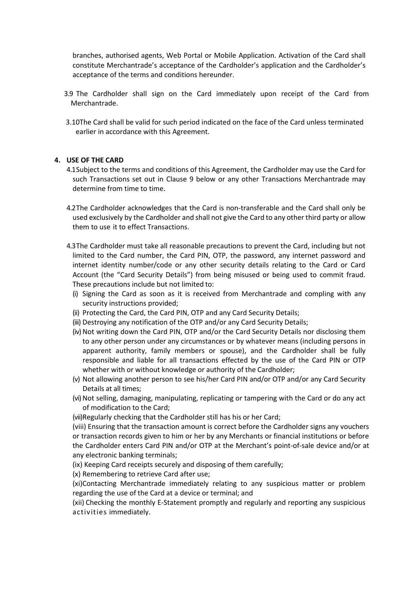branches, authorised agents, Web Portal or Mobile Application. Activation of the Card shall constitute Merchantrade's acceptance of the Cardholder's application and the Cardholder's acceptance of the terms and conditions hereunder.

- 3.9 The Cardholder shall sign on the Card immediately upon receipt of the Card from Merchantrade.
- 3.10The Card shall be valid for such period indicated on the face of the Card unless terminated earlier in accordance with this Agreement.

# **4. USE OF THE CARD**

- 4.1Subject to the terms and conditions of this Agreement, the Cardholder may use the Card for such Transactions set out in Clause 9 below or any other Transactions Merchantrade may determine from time to time.
- 4.2The Cardholder acknowledges that the Card is non-transferable and the Card shall only be used exclusively by the Cardholder and shall not give the Card to any other third party or allow them to use it to effect Transactions.
- 4.3The Cardholder must take all reasonable precautions to prevent the Card, including but not limited to the Card number, the Card PIN, OTP, the password, any internet password and internet identity number/code or any other security details relating to the Card or Card Account (the "Card Security Details") from being misused or being used to commit fraud. These precautions include but not limited to:
	- (i) Signing the Card as soon as it is received from Merchantrade and compling with any security instructions provided;
	- (ii) Protecting the Card, the Card PIN, OTP and any Card Security Details;
	- (iii) Destroying any notification of the OTP and/or any Card Security Details;
	- (iv) Not writing down the Card PIN, OTP and/or the Card Security Details nor disclosing them to any other person under any circumstances or by whatever means (including persons in apparent authority, family members or spouse), and the Cardholder shall be fully responsible and liable for all transactions effected by the use of the Card PIN or OTP whether with or without knowledge or authority of the Cardholder;
	- (v) Not allowing another person to see his/her Card PIN and/or OTP and/or any Card Security Details at all times;
	- (vi) Not selling, damaging, manipulating, replicating or tampering with the Card or do any act of modification to the Card;
	- (vii)Regularly checking that the Cardholder still has his or her Card;
	- (viii) Ensuring that the transaction amount is correct before the Cardholder signs any vouchers or transaction records given to him or her by any Merchants or financial institutions or before the Cardholder enters Card PIN and/or OTP at the Merchant's point-of-sale device and/or at any electronic banking terminals;
	- (ix) Keeping Card receipts securely and disposing of them carefully;
	- (x) Remembering to retrieve Card after use;
	- (xi)Contacting Merchantrade immediately relating to any suspicious matter or problem regarding the use of the Card at a device or terminal; and
	- (xii) Checking the monthly E-Statement promptly and regularly and reporting any suspicious activities immediately.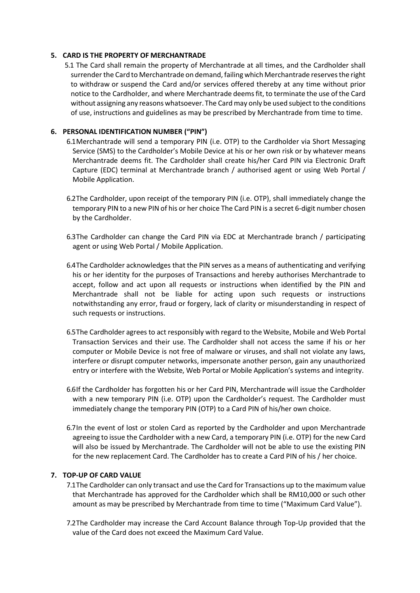# **5. CARD IS THE PROPERTY OF MERCHANTRADE**

5.1 The Card shall remain the property of Merchantrade at all times, and the Cardholder shall surrender the Card to Merchantrade on demand, failing which Merchantrade reservesthe right to withdraw or suspend the Card and/or services offered thereby at any time without prior notice to the Cardholder, and where Merchantrade deemsfit, to terminate the use of the Card without assigning any reasons whatsoever. The Cardmay only be used subject to the conditions of use, instructions and guidelines as may be prescribed by Merchantrade from time to time.

# **6. PERSONAL IDENTIFICATION NUMBER ("PIN")**

6.1Merchantrade will send a temporary PIN (i.e. OTP) to the Cardholder via Short Messaging Service (SMS) to the Cardholder's Mobile Device at his or her own risk or by whatever means Merchantrade deems fit. The Cardholder shall create his/her Card PIN via Electronic Draft Capture (EDC) terminal at Merchantrade branch / authorised agent or using Web Portal / Mobile Application.

- 6.2The Cardholder, upon receipt of the temporary PIN (i.e. OTP), shall immediately change the temporary PIN to a new PIN of his or her choice The Card PIN is a secret 6-digit number chosen by the Cardholder.
- 6.3The Cardholder can change the Card PIN via EDC at Merchantrade branch / participating agent or using Web Portal / Mobile Application.
- 6.4The Cardholder acknowledges that the PIN serves as a means of authenticating and verifying his or her identity for the purposes of Transactions and hereby authorises Merchantrade to accept, follow and act upon all requests or instructions when identified by the PIN and Merchantrade shall not be liable for acting upon such requests or instructions notwithstanding any error, fraud or forgery, lack of clarity or misunderstanding in respect of such requests or instructions.
- 6.5The Cardholder agrees to act responsibly with regard to the Website, Mobile and Web Portal Transaction Services and their use. The Cardholder shall not access the same if his or her computer or Mobile Device is not free of malware or viruses, and shall not violate any laws, interfere or disrupt computer networks, impersonate another person, gain any unauthorized entry or interfere with the Website, Web Portal or Mobile Application's systems and integrity.
- 6.6If the Cardholder has forgotten his or her Card PIN, Merchantrade will issue the Cardholder with a new temporary PIN (i.e. OTP) upon the Cardholder's request. The Cardholder must immediately change the temporary PIN (OTP) to a Card PIN of his/her own choice.
- 6.7In the event of lost or stolen Card as reported by the Cardholder and upon Merchantrade agreeing to issue the Cardholder with a new Card, a temporary PIN (i.e. OTP) for the new Card will also be issued by Merchantrade. The Cardholder will not be able to use the existing PIN for the new replacement Card. The Cardholder has to create a Card PIN of his / her choice.

# **7. TOP-UP OF CARD VALUE**

- 7.1The Cardholder can only transact and use the Card for Transactions up to the maximum value that Merchantrade has approved for the Cardholder which shall be RM10,000 or such other amount as may be prescribed by Merchantrade from time to time ("Maximum Card Value").
- 7.2The Cardholder may increase the Card Account Balance through Top-Up provided that the value of the Card does not exceed the Maximum Card Value.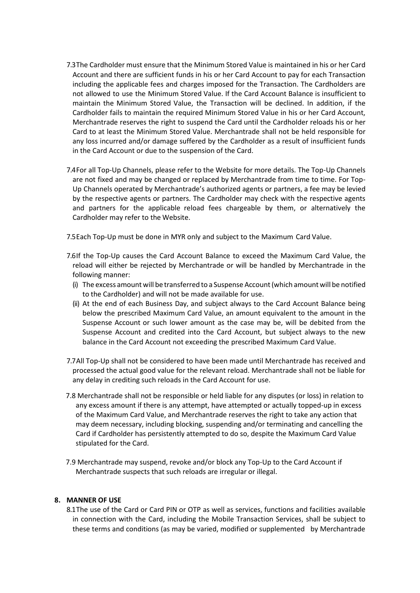- 7.3The Cardholder must ensure that the Minimum Stored Value is maintained in his or her Card Account and there are sufficient funds in his or her Card Account to pay for each Transaction including the applicable fees and charges imposed for the Transaction. The Cardholders are not allowed to use the Minimum Stored Value. If the Card Account Balance is insufficient to maintain the Minimum Stored Value, the Transaction will be declined. In addition, if the Cardholder fails to maintain the required Minimum Stored Value in his or her Card Account, Merchantrade reserves the right to suspend the Card until the Cardholder reloads his or her Card to at least the Minimum Stored Value. Merchantrade shall not be held responsible for any loss incurred and/or damage suffered by the Cardholder as a result of insufficient funds in the Card Account or due to the suspension of the Card.
- 7.4For all Top-Up Channels, please refer to the Website for more details. The Top-Up Channels are not fixed and may be changed or replaced by Merchantrade from time to time. For Top-Up Channels operated by Merchantrade's authorized agents or partners, a fee may be levied by the respective agents or partners. The Cardholder may check with the respective agents and partners for the applicable reload fees chargeable by them, or alternatively the Cardholder may refer to the Website.
- 7.5Each Top-Up must be done in MYR only and subject to the Maximum Card Value.
- 7.6If the Top-Up causes the Card Account Balance to exceed the Maximum Card Value, the reload will either be rejected by Merchantrade or will be handled by Merchantrade in the following manner:
	- (i) The excess amount will be transferred to a Suspense Account(which amount will be notified to the Cardholder) and will not be made available for use.
	- (ii) At the end of each Business Day, and subject always to the Card Account Balance being below the prescribed Maximum Card Value, an amount equivalent to the amount in the Suspense Account or such lower amount as the case may be, will be debited from the Suspense Account and credited into the Card Account, but subject always to the new balance in the Card Account not exceeding the prescribed Maximum Card Value.
- 7.7All Top-Up shall not be considered to have been made until Merchantrade has received and processed the actual good value for the relevant reload. Merchantrade shall not be liable for any delay in crediting such reloads in the Card Account for use.
- 7.8 Merchantrade shall not be responsible or held liable for any disputes (or loss) in relation to any excess amount if there is any attempt, have attempted or actually topped-up in excess of the Maximum Card Value, and Merchantrade reserves the right to take any action that may deem necessary, including blocking, suspending and/or terminating and cancelling the Card if Cardholder has persistently attempted to do so, despite the Maximum Card Value stipulated for the Card.
- 7.9 Merchantrade may suspend, revoke and/or block any Top-Up to the Card Account if Merchantrade suspects that such reloads are irregular or illegal.

# **8. MANNER OF USE**

8.1The use of the Card or Card PIN or OTP as well as services, functions and facilities available in connection with the Card, including the Mobile Transaction Services, shall be subject to these terms and conditions (as may be varied, modified or supplemented by Merchantrade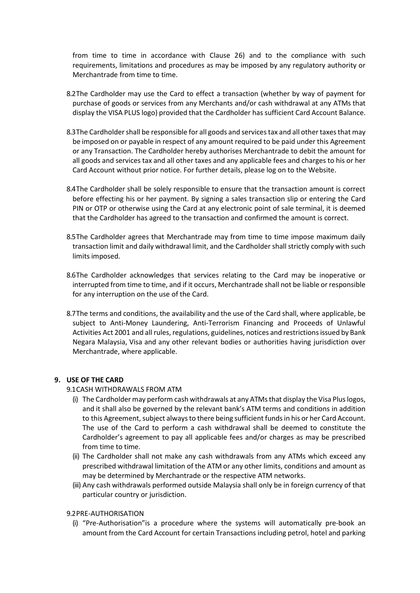from time to time in accordance with Clause 26) and to the compliance with such requirements, limitations and procedures as may be imposed by any regulatory authority or Merchantrade from time to time.

- 8.2The Cardholder may use the Card to effect a transaction (whether by way of payment for purchase of goods or services from any Merchants and/or cash withdrawal at any ATMs that display the VISA PLUS logo) provided that the Cardholder has sufficient Card Account Balance.
- 8.3 The Cardholder shall be responsible for all goods and services tax and all other taxes that may be imposed on or payable in respect of any amount required to be paid under this Agreement or any Transaction. The Cardholder hereby authorises Merchantrade to debit the amount for all goods and services tax and all other taxes and any applicable fees and charges to his or her Card Account without prior notice. For further details, please log on to the Website.
- 8.4The Cardholder shall be solely responsible to ensure that the transaction amount is correct before effecting his or her payment. By signing a sales transaction slip or entering the Card PIN or OTP or otherwise using the Card at any electronic point of sale terminal, it is deemed that the Cardholder has agreed to the transaction and confirmed the amount is correct.
- 8.5The Cardholder agrees that Merchantrade may from time to time impose maximum daily transaction limit and daily withdrawal limit, and the Cardholder shall strictly comply with such limits imposed.
- 8.6The Cardholder acknowledges that services relating to the Card may be inoperative or interrupted from time to time, and if it occurs, Merchantrade shall not be liable or responsible for any interruption on the use of the Card.
- 8.7The terms and conditions, the availability and the use of the Card shall, where applicable, be subject to Anti-Money Laundering, Anti-Terrorism Financing and Proceeds of Unlawful Activities Act 2001 and all rules, regulations, guidelines, notices and restrictions issued by Bank Negara Malaysia, Visa and any other relevant bodies or authorities having jurisdiction over Merchantrade, where applicable.

# **9. USE OF THE CARD**

# 9.1CASH WITHDRAWALS FROM ATM

- (i) The Cardholder may perform cash withdrawals at any ATMs that display the Visa Plus logos, and it shall also be governed by the relevant bank's ATM terms and conditions in addition to this Agreement, subject always to there being sufficient funds in his or her Card Account. The use of the Card to perform a cash withdrawal shall be deemed to constitute the Cardholder's agreement to pay all applicable fees and/or charges as may be prescribed from time to time.
- (ii) The Cardholder shall not make any cash withdrawals from any ATMs which exceed any prescribed withdrawal limitation of the ATM or any other limits, conditions and amount as may be determined by Merchantrade or the respective ATM networks.
- (iii) Any cash withdrawals performed outside Malaysia shall only be in foreign currency of that particular country or jurisdiction.

#### 9.2PRE-AUTHORISATION

(i) "Pre-Authorisation"is a procedure where the systems will automatically pre-book an amount from the Card Account for certain Transactions including petrol, hotel and parking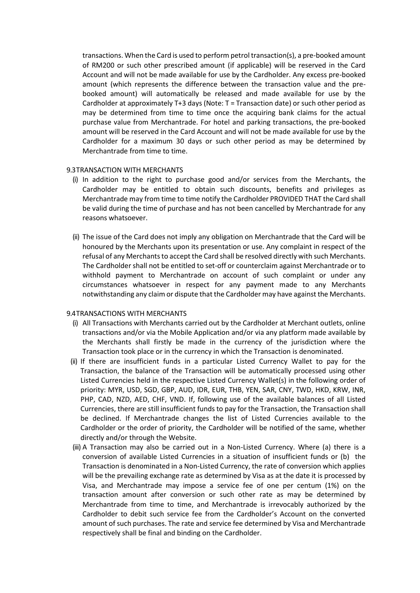transactions. When the Card is used to perform petrol transaction(s), a pre-booked amount of RM200 or such other prescribed amount (if applicable) will be reserved in the Card Account and will not be made available for use by the Cardholder. Any excess pre-booked amount (which represents the difference between the transaction value and the prebooked amount) will automatically be released and made available for use by the Cardholder at approximately T+3 days (Note: T = Transaction date) or such other period as may be determined from time to time once the acquiring bank claims for the actual purchase value from Merchantrade. For hotel and parking transactions, the pre-booked amount will be reserved in the Card Account and will not be made available for use by the Cardholder for a maximum 30 days or such other period as may be determined by Merchantrade from time to time.

### 9.3TRANSACTION WITH MERCHANTS

- (i) In addition to the right to purchase good and/or services from the Merchants, the Cardholder may be entitled to obtain such discounts, benefits and privileges as Merchantrade may from time to time notify the Cardholder PROVIDED THAT the Card shall be valid during the time of purchase and has not been cancelled by Merchantrade for any reasons whatsoever.
- (ii) The issue of the Card does not imply any obligation on Merchantrade that the Card will be honoured by the Merchants upon its presentation or use. Any complaint in respect of the refusal of any Merchants to accept the Card shall be resolved directly with such Merchants. The Cardholder shall not be entitled to set-off or counterclaim against Merchantrade or to withhold payment to Merchantrade on account of such complaint or under any circumstances whatsoever in respect for any payment made to any Merchants notwithstanding any claim or dispute that the Cardholder may have against the Merchants.

#### 9.4TRANSACTIONS WITH MERCHANTS

- (i) All Transactions with Merchants carried out by the Cardholder at Merchant outlets, online transactions and/or via the Mobile Application and/or via any platform made available by the Merchants shall firstly be made in the currency of the jurisdiction where the Transaction took place or in the currency in which the Transaction is denominated.
- (ii) If there are insufficient funds in a particular Listed Currency Wallet to pay for the Transaction, the balance of the Transaction will be automatically processed using other Listed Currencies held in the respective Listed Currency Wallet(s) in the following order of priority: MYR, USD, SGD, GBP, AUD, IDR, EUR, THB, YEN, SAR, CNY, TWD, HKD, KRW, INR, PHP, CAD, NZD, AED, CHF, VND. If, following use of the available balances of all Listed Currencies, there are still insufficient funds to pay for the Transaction, the Transaction shall be declined. If Merchantrade changes the list of Listed Currencies available to the Cardholder or the order of priority, the Cardholder will be notified of the same, whether directly and/or through the Website.
- (iii) A Transaction may also be carried out in a Non-Listed Currency. Where (a) there is a conversion of available Listed Currencies in a situation of insufficient funds or (b) the Transaction is denominated in a Non-Listed Currency, the rate of conversion which applies will be the prevailing exchange rate as determined by Visa as at the date it is processed by Visa, and Merchantrade may impose a service fee of one per centum (1%) on the transaction amount after conversion or such other rate as may be determined by Merchantrade from time to time, and Merchantrade is irrevocably authorized by the Cardholder to debit such service fee from the Cardholder's Account on the converted amount of such purchases. The rate and service fee determined by Visa and Merchantrade respectively shall be final and binding on the Cardholder.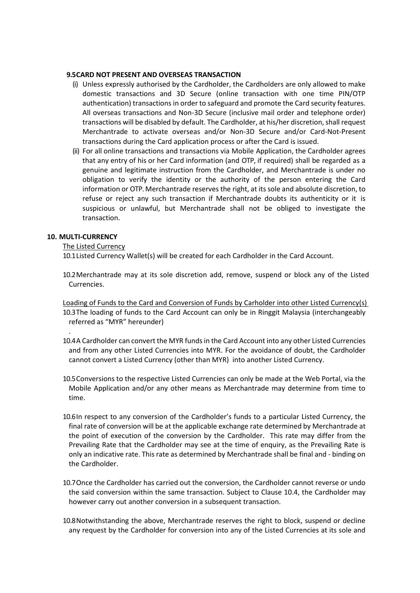# **9.5CARD NOT PRESENT AND OVERSEAS TRANSACTION**

- (i) Unless expressly authorised by the Cardholder, the Cardholders are only allowed to make domestic transactions and 3D Secure (online transaction with one time PIN/OTP authentication) transactions in order to safeguard and promote the Card security features. All overseas transactions and Non-3D Secure (inclusive mail order and telephone order) transactions will be disabled by default. The Cardholder, at his/her discretion, shall request Merchantrade to activate overseas and/or Non-3D Secure and/or Card-Not-Present transactions during the Card application process or after the Card is issued.
- (ii) For all online transactions and transactions via Mobile Application, the Cardholder agrees that any entry of his or her Card information (and OTP, if required) shall be regarded as a genuine and legitimate instruction from the Cardholder, and Merchantrade is under no obligation to verify the identity or the authority of the person entering the Card information or OTP. Merchantrade reserves the right, at its sole and absolute discretion, to refuse or reject any such transaction if Merchantrade doubts its authenticity or it is suspicious or unlawful, but Merchantrade shall not be obliged to investigate the transaction.

# **10. MULTI-CURRENCY**

.

# The Listed Currency

10.1Listed Currency Wallet(s) will be created for each Cardholder in the Card Account.

10.2Merchantrade may at its sole discretion add, remove, suspend or block any of the Listed Currencies.

Loading of Funds to the Card and Conversion of Funds by Carholder into other Listed Currency(s) 10.3The loading of funds to the Card Account can only be in Ringgit Malaysia (interchangeably referred as "MYR" hereunder)

- 10.4A Cardholder can convert the MYR funds in the Card Account into any other Listed Currencies and from any other Listed Currencies into MYR. For the avoidance of doubt, the Cardholder cannot convert a Listed Currency (other than MYR) into another Listed Currency.
- 10.5Conversions to the respective Listed Currencies can only be made at the Web Portal, via the Mobile Application and/or any other means as Merchantrade may determine from time to time.
- 10.6In respect to any conversion of the Cardholder's funds to a particular Listed Currency, the final rate of conversion will be at the applicable exchange rate determined by Merchantrade at the point of execution of the conversion by the Cardholder. This rate may differ from the Prevailing Rate that the Cardholder may see at the time of enquiry, as the Prevailing Rate is only an indicative rate. This rate as determined by Merchantrade shall be final and - binding on the Cardholder.
- 10.7Once the Cardholder has carried out the conversion, the Cardholder cannot reverse or undo the said conversion within the same transaction. Subject to Clause 10.4, the Cardholder may however carry out another conversion in a subsequent transaction.
- 10.8Notwithstanding the above, Merchantrade reserves the right to block, suspend or decline any request by the Cardholder for conversion into any of the Listed Currencies at its sole and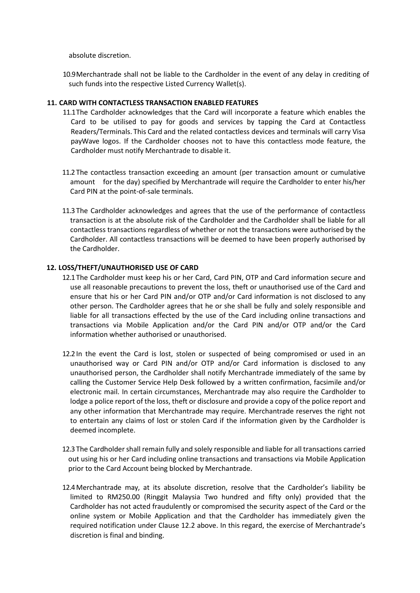absolute discretion.

10.9Merchantrade shall not be liable to the Cardholder in the event of any delay in crediting of such funds into the respective Listed Currency Wallet(s).

### **11. CARD WITH CONTACTLESS TRANSACTION ENABLED FEATURES**

- 11.1The Cardholder acknowledges that the Card will incorporate a feature which enables the Card to be utilised to pay for goods and services by tapping the Card at Contactless Readers/Terminals. This Card and the related contactless devices and terminals will carry Visa payWave logos. If the Cardholder chooses not to have this contactless mode feature, the Cardholder must notify Merchantrade to disable it.
- 11.2 The contactless transaction exceeding an amount (per transaction amount or cumulative amount for the day) specified by Merchantrade will require the Cardholder to enter his/her Card PIN at the point-of-sale terminals.
- 11.3 The Cardholder acknowledges and agrees that the use of the performance of contactless transaction is at the absolute risk of the Cardholder and the Cardholder shall be liable for all contactless transactions regardless of whether or not the transactions were authorised by the Cardholder. All contactless transactions will be deemed to have been properly authorised by the Cardholder.

### **12. LOSS/THEFT/UNAUTHORISED USE OF CARD**

- 12.1 The Cardholder must keep his or her Card, Card PIN, OTP and Card information secure and use all reasonable precautions to prevent the loss, theft or unauthorised use of the Card and ensure that his or her Card PIN and/or OTP and/or Card information is not disclosed to any other person. The Cardholder agrees that he or she shall be fully and solely responsible and liable for all transactions effected by the use of the Card including online transactions and transactions via Mobile Application and/or the Card PIN and/or OTP and/or the Card information whether authorised or unauthorised.
- 12.2 In the event the Card is lost, stolen or suspected of being compromised or used in an unauthorised way or Card PIN and/or OTP and/or Card information is disclosed to any unauthorised person, the Cardholder shall notify Merchantrade immediately of the same by calling the Customer Service Help Desk followed by a written confirmation, facsimile and/or electronic mail. In certain circumstances, Merchantrade may also require the Cardholder to lodge a police report of the loss, theft or disclosure and provide a copy of the police report and any other information that Merchantrade may require. Merchantrade reserves the right not to entertain any claims of lost or stolen Card if the information given by the Cardholder is deemed incomplete.
- 12.3 The Cardholdershall remain fully and solely responsible and liable for all transactions carried out using his or her Card including online transactions and transactions via Mobile Application prior to the Card Account being blocked by Merchantrade.
- 12.4Merchantrade may, at its absolute discretion, resolve that the Cardholder's liability be limited to RM250.00 (Ringgit Malaysia Two hundred and fifty only) provided that the Cardholder has not acted fraudulently or compromised the security aspect of the Card or the online system or Mobile Application and that the Cardholder has immediately given the required notification under Clause 12.2 above. In this regard, the exercise of Merchantrade's discretion is final and binding.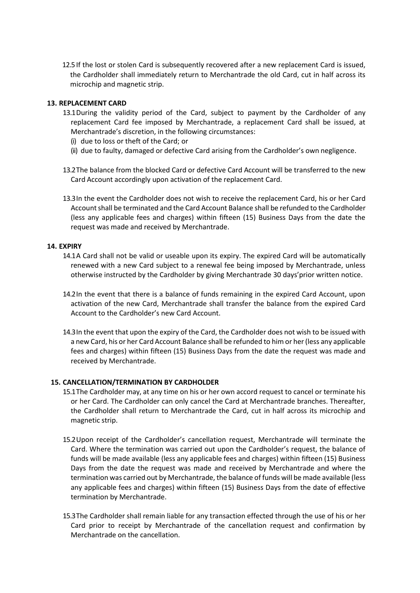12.5 If the lost or stolen Card is subsequently recovered after a new replacement Card is issued, the Cardholder shall immediately return to Merchantrade the old Card, cut in half across its microchip and magnetic strip.

# **13. REPLACEMENT CARD**

- 13.1During the validity period of the Card, subject to payment by the Cardholder of any replacement Card fee imposed by Merchantrade, a replacement Card shall be issued, at Merchantrade's discretion, in the following circumstances:
	- (i) due to loss or theft of the Card; or
	- (ii) due to faulty, damaged or defective Card arising from the Cardholder's own negligence.
- 13.2The balance from the blocked Card or defective Card Account will be transferred to the new Card Account accordingly upon activation of the replacement Card.
- 13.3In the event the Cardholder does not wish to receive the replacement Card, his or her Card Accountshall be terminated and the Card Account Balance shall be refunded to the Cardholder (less any applicable fees and charges) within fifteen (15) Business Days from the date the request was made and received by Merchantrade.

# **14. EXPIRY**

- 14.1A Card shall not be valid or useable upon its expiry. The expired Card will be automatically renewed with a new Card subject to a renewal fee being imposed by Merchantrade, unless otherwise instructed by the Cardholder by giving Merchantrade 30 days'prior written notice.
- 14.2In the event that there is a balance of funds remaining in the expired Card Account, upon activation of the new Card, Merchantrade shall transfer the balance from the expired Card Account to the Cardholder's new Card Account.
- 14.3In the event that upon the expiry of the Card, the Cardholder does not wish to be issued with a new Card, his or her Card Account Balance shall be refunded to him or her (less any applicable fees and charges) within fifteen (15) Business Days from the date the request was made and received by Merchantrade.

# **15. CANCELLATION/TERMINATION BY CARDHOLDER**

- 15.1The Cardholder may, at any time on his or her own accord request to cancel or terminate his or her Card. The Cardholder can only cancel the Card at Merchantrade branches. Thereafter, the Cardholder shall return to Merchantrade the Card, cut in half across its microchip and magnetic strip.
- 15.2Upon receipt of the Cardholder's cancellation request, Merchantrade will terminate the Card. Where the termination was carried out upon the Cardholder's request, the balance of funds will be made available (less any applicable fees and charges) within fifteen (15) Business Days from the date the request was made and received by Merchantrade and where the termination was carried out by Merchantrade, the balance of funds will be made available (less any applicable fees and charges) within fifteen (15) Business Days from the date of effective termination by Merchantrade.
- 15.3The Cardholder shall remain liable for any transaction effected through the use of his or her Card prior to receipt by Merchantrade of the cancellation request and confirmation by Merchantrade on the cancellation.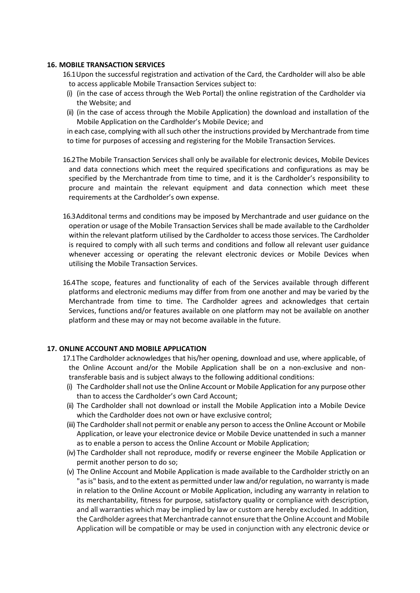### **16. MOBILE TRANSACTION SERVICES**

16.1Upon the successful registration and activation of the Card, the Cardholder will also be able to access applicable Mobile Transaction Services subject to:

- (i) (in the case of access through the Web Portal) the online registration of the Cardholder via the Website; and
- (ii) (in the case of access through the Mobile Application) the download and installation of the Mobile Application on the Cardholder's Mobile Device; and

in each case, complying with all such other the instructions provided by Merchantrade from time to time for purposes of accessing and registering for the Mobile Transaction Services.

- 16.2The Mobile Transaction Services shall only be available for electronic devices, Mobile Devices and data connections which meet the required specifications and configurations as may be specified by the Merchantrade from time to time, and it is the Cardholder's responsibility to procure and maintain the relevant equipment and data connection which meet these requirements at the Cardholder's own expense.
- 16.3Additonal terms and conditions may be imposed by Merchantrade and user guidance on the operation or usage of the Mobile Transaction Services shall be made available to the Cardholder within the relevant platform utilised by the Cardholder to access those services. The Cardholder is required to comply with all such terms and conditions and follow all relevant user guidance whenever accessing or operating the relevant electronic devices or Mobile Devices when utilising the Mobile Transaction Services.
- 16.4The scope, features and functionality of each of the Services available through different platforms and electronic mediums may differ from from one another and may be varied by the Merchantrade from time to time. The Cardholder agrees and acknowledges that certain Services, functions and/or features available on one platform may not be available on another platform and these may or may not become available in the future.

# **17. ONLINE ACCOUNT AND MOBILE APPLICATION**

- 17.1The Cardholder acknowledges that his/her opening, download and use, where applicable, of the Online Account and/or the Mobile Application shall be on a non-exclusive and nontransferable basis and is subject always to the following additional conditions:
- (i) The Cardholder shall not use the Online Account or Mobile Application for any purpose other than to access the Cardholder's own Card Account;
- (ii) The Cardholder shall not download or install the Mobile Application into a Mobile Device which the Cardholder does not own or have exclusive control;
- (iii) The Cardholder shall not permit or enable any person to access the Online Account or Mobile Application, or leave your electronice device or Mobile Device unattended in such a manner as to enable a person to access the Online Account or Mobile Application;
- (iv) The Cardholder shall not reproduce, modify or reverse engineer the Mobile Application or permit another person to do so;
- (v) The Online Account and Mobile Application is made available to the Cardholder strictly on an "as is" basis, and to the extent as permitted under law and/or regulation, no warranty is made in relation to the Online Account or Mobile Application, including any warranty in relation to its merchantability, fitness for purpose, satisfactory quality or compliance with description, and all warranties which may be implied by law or custom are hereby excluded. In addition, the Cardholder agrees that Merchantrade cannot ensure that the Online Account and Mobile Application will be compatible or may be used in conjunction with any electronic device or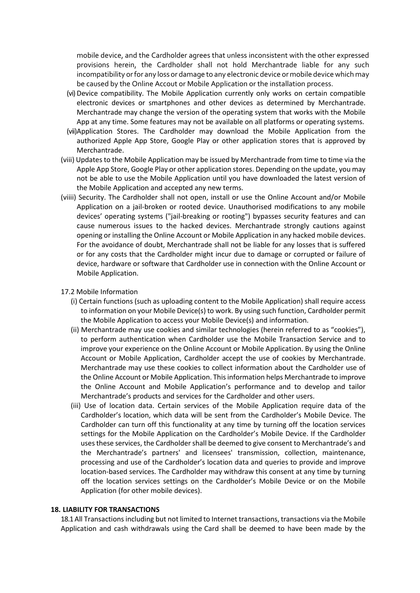mobile device, and the Cardholder agrees that unless inconsistent with the other expressed provisions herein, the Cardholder shall not hold Merchantrade liable for any such incompatibility or for any loss or damage to any electronic device or mobile device which may be caused by the Online Accout or Mobile Application or the installation process.

- (vi) Device compatibility. The Mobile Application currently only works on certain compatible electronic devices or smartphones and other devices as determined by Merchantrade. Merchantrade may change the version of the operating system that works with the Mobile App at any time. Some features may not be available on all platforms or operating systems.
- (vii)Application Stores. The Cardholder may download the Mobile Application from the authorized Apple App Store, Google Play or other application stores that is approved by Merchantrade.
- (viii) Updates to the Mobile Application may be issued by Merchantrade from time to time via the Apple App Store, Google Play or other application stores. Depending on the update, you may not be able to use the Mobile Application until you have downloaded the latest version of the Mobile Application and accepted any new terms.
- (viiii) Security. The Cardholder shall not open, install or use the Online Account and/or Mobile Application on a jail-broken or rooted device. Unauthorised modifications to any mobile devices' operating systems ("jail-breaking or rooting") bypasses security features and can cause numerous issues to the hacked devices. Merchantrade strongly cautions against opening or installing the Online Account or Mobile Application in any hacked mobile devices. For the avoidance of doubt, Merchantrade shall not be liable for any losses that is suffered or for any costs that the Cardholder might incur due to damage or corrupted or failure of device, hardware or software that Cardholder use in connection with the Online Account or Mobile Application.

### 17.2 Mobile Information

- (i) Certain functions (such as uploading content to the Mobile Application) shall require access to information on your Mobile Device(s) to work. By using such function, Cardholder permit the Mobile Application to access your Mobile Device(s) and information.
- (ii) Merchantrade may use cookies and similar technologies (herein referred to as "cookies"), to perform authentication when Cardholder use the Mobile Transaction Service and to improve your experience on the Online Account or Mobile Application. By using the Online Account or Mobile Application, Cardholder accept the use of cookies by Merchantrade. Merchantrade may use these cookies to collect information about the Cardholder use of the Online Account or Mobile Application. This information helps Merchantrade to improve the Online Account and Mobile Application's performance and to develop and tailor Merchantrade's products and services for the Cardholder and other users.
- (iii) Use of location data. Certain services of the Mobile Application require data of the Cardholder's location, which data will be sent from the Cardholder's Mobile Device. The Cardholder can turn off this functionality at any time by turning off the location services settings for the Mobile Application on the Cardholder's Mobile Device. If the Cardholder usesthese services, the Cardholder shall be deemed to give consent to Merchantrade's and the Merchantrade's partners' and licensees' transmission, collection, maintenance, processing and use of the Cardholder's location data and queries to provide and improve location-based services. The Cardholder may withdraw this consent at any time by turning off the location services settings on the Cardholder's Mobile Device or on the Mobile Application (for other mobile devices).

#### **18. LIABILITY FOR TRANSACTIONS**

18.1All Transactions including but not limited to Internet transactions, transactions via the Mobile Application and cash withdrawals using the Card shall be deemed to have been made by the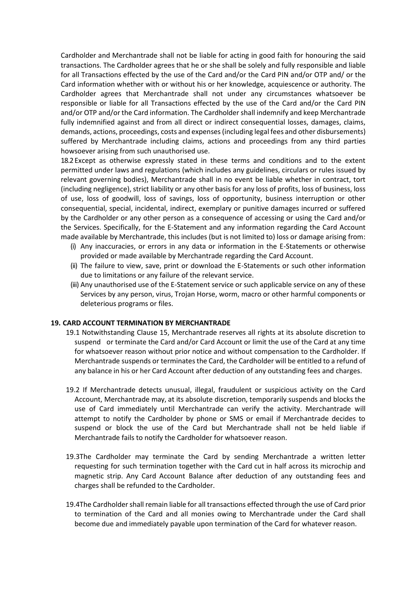Cardholder and Merchantrade shall not be liable for acting in good faith for honouring the said transactions. The Cardholder agrees that he or she shall be solely and fully responsible and liable for all Transactions effected by the use of the Card and/or the Card PIN and/or OTP and/ or the Card information whether with or without his or her knowledge, acquiescence or authority. The Cardholder agrees that Merchantrade shall not under any circumstances whatsoever be responsible or liable for all Transactions effected by the use of the Card and/or the Card PIN and/or OTP and/or the Card information. The Cardholder shall indemnify and keep Merchantrade fully indemnified against and from all direct or indirect consequential losses, damages, claims, demands, actions, proceedings, costs and expenses (including legal fees and other disbursements) suffered by Merchantrade including claims, actions and proceedings from any third parties howsoever arising from such unauthorised use.

18.2Except as otherwise expressly stated in these terms and conditions and to the extent permitted under laws and regulations (which includes any guidelines, circulars or rules issued by relevant governing bodies), Merchantrade shall in no event be liable whether in contract, tort (including negligence), strict liability or any other basis for any loss of profits, loss of business, loss of use, loss of goodwill, loss of savings, loss of opportunity, business interruption or other consequential, special, incidental, indirect, exemplary or punitive damages incurred or suffered by the Cardholder or any other person as a consequence of accessing or using the Card and/or the Services. Specifically, for the E-Statement and any information regarding the Card Account made available by Merchantrade, this includes (but is not limited to) loss or damage arising from:

- (i) Any inaccuracies, or errors in any data or information in the E-Statements or otherwise provided or made available by Merchantrade regarding the Card Account.
- (ii) The failure to view, save, print or download the E-Statements or such other information due to limitations or any failure of the relevant service.
- (iii) Any unauthorised use of the E-Statement service or such applicable service on any of these Services by any person, virus, Trojan Horse, worm, macro or other harmful components or deleterious programs or files.

#### **19. CARD ACCOUNT TERMINATION BY MERCHANTRADE**

- 19.1 Notwithstanding Clause 15, Merchantrade reserves all rights at its absolute discretion to suspend or terminate the Card and/or Card Account or limit the use of the Card at any time for whatsoever reason without prior notice and without compensation to the Cardholder. If Merchantrade suspends or terminatesthe Card, the Cardholder will be entitled to a refund of any balance in his or her Card Account after deduction of any outstanding fees and charges.
- 19.2 If Merchantrade detects unusual, illegal, fraudulent or suspicious activity on the Card Account, Merchantrade may, at its absolute discretion, temporarily suspends and blocks the use of Card immediately until Merchantrade can verify the activity. Merchantrade will attempt to notify the Cardholder by phone or SMS or email if Merchantrade decides to suspend or block the use of the Card but Merchantrade shall not be held liable if Merchantrade fails to notify the Cardholder for whatsoever reason.
- 19.3The Cardholder may terminate the Card by sending Merchantrade a written letter requesting for such termination together with the Card cut in half across its microchip and magnetic strip. Any Card Account Balance after deduction of any outstanding fees and charges shall be refunded to the Cardholder.
- 19.4The Cardholder shall remain liable for all transactions effected through the use of Card prior to termination of the Card and all monies owing to Merchantrade under the Card shall become due and immediately payable upon termination of the Card for whatever reason.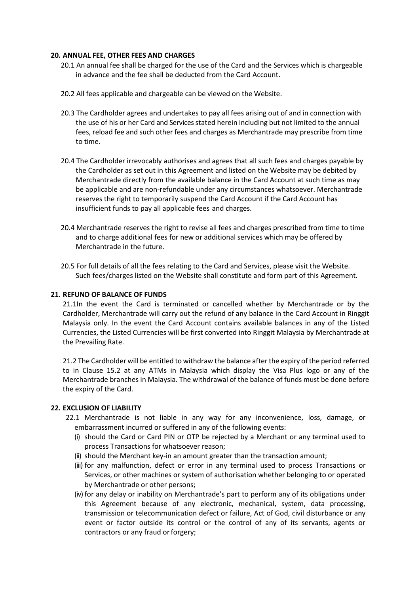### **20. ANNUAL FEE, OTHER FEES AND CHARGES**

- 20.1 An annual fee shall be charged for the use of the Card and the Services which is chargeable in advance and the fee shall be deducted from the Card Account.
- 20.2 All fees applicable and chargeable can be viewed on the Website.
- 20.3 The Cardholder agrees and undertakes to pay all fees arising out of and in connection with the use of his or her Card and Services stated herein including but not limited to the annual fees, reload fee and such other fees and charges as Merchantrade may prescribe from time to time.
- 20.4 The Cardholder irrevocably authorises and agrees that all such fees and charges payable by the Cardholder as set out in this Agreement and listed on the Website may be debited by Merchantrade directly from the available balance in the Card Account at such time as may be applicable and are non-refundable under any circumstances whatsoever. Merchantrade reserves the right to temporarily suspend the Card Account if the Card Account has insufficient funds to pay all applicable fees and charges.
- 20.4 Merchantrade reserves the right to revise all fees and charges prescribed from time to time and to charge additional fees for new or additional services which may be offered by Merchantrade in the future.
- 20.5 For full details of all the fees relating to the Card and Services, please visit the Website. Such fees/charges listed on the Website shall constitute and form part of this Agreement.

### **21. REFUND OF BALANCE OF FUNDS**

21.1In the event the Card is terminated or cancelled whether by Merchantrade or by the Cardholder, Merchantrade will carry out the refund of any balance in the Card Account in Ringgit Malaysia only. In the event the Card Account contains available balances in any of the Listed Currencies, the Listed Currencies will be first converted into Ringgit Malaysia by Merchantrade at the Prevailing Rate.

21.2 The Cardholder will be entitled to withdraw the balance after the expiry of the period referred to in Clause 15.2 at any ATMs in Malaysia which display the Visa Plus logo or any of the Merchantrade branches in Malaysia. The withdrawal of the balance of funds must be done before the expiry of the Card.

#### **22. EXCLUSION OF LIABILITY**

- 22.1 Merchantrade is not liable in any way for any inconvenience, loss, damage, or embarrassment incurred or suffered in any of the following events:
	- (i) should the Card or Card PIN or OTP be rejected by a Merchant or any terminal used to process Transactions for whatsoever reason;
	- (ii) should the Merchant key-in an amount greater than the transaction amount;
	- (iii) for any malfunction, defect or error in any terminal used to process Transactions or Services, or other machines or system of authorisation whether belonging to or operated by Merchantrade or other persons;
	- (iv) for any delay or inability on Merchantrade's part to perform any of its obligations under this Agreement because of any electronic, mechanical, system, data processing, transmission or telecommunication defect or failure, Act of God, civil disturbance or any event or factor outside its control or the control of any of its servants, agents or contractors or any fraud or forgery;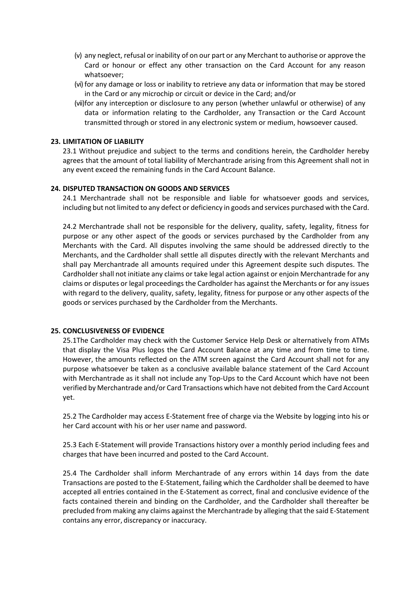- (v) any neglect, refusal or inability of on our part or any Merchant to authorise or approve the Card or honour or effect any other transaction on the Card Account for any reason whatsoever;
- (vi) for any damage or loss or inability to retrieve any data or information that may be stored in the Card or any microchip or circuit or device in the Card; and/or
- (vii)for any interception or disclosure to any person (whether unlawful or otherwise) of any data or information relating to the Cardholder, any Transaction or the Card Account transmitted through or stored in any electronic system or medium, howsoever caused.

### **23. LIMITATION OF LIABILITY**

23.1 Without prejudice and subject to the terms and conditions herein, the Cardholder hereby agrees that the amount of total liability of Merchantrade arising from this Agreement shall not in any event exceed the remaining funds in the Card Account Balance.

# **24. DISPUTED TRANSACTION ON GOODS AND SERVICES**

24.1 Merchantrade shall not be responsible and liable for whatsoever goods and services, including but not limited to any defect or deficiency in goods and services purchased with the Card.

24.2 Merchantrade shall not be responsible for the delivery, quality, safety, legality, fitness for purpose or any other aspect of the goods or services purchased by the Cardholder from any Merchants with the Card. All disputes involving the same should be addressed directly to the Merchants, and the Cardholder shall settle all disputes directly with the relevant Merchants and shall pay Merchantrade all amounts required under this Agreement despite such disputes. The Cardholder shall not initiate any claims or take legal action against or enjoin Merchantrade for any claims or disputes or legal proceedings the Cardholder has against the Merchants or for any issues with regard to the delivery, quality, safety, legality, fitness for purpose or any other aspects of the goods or services purchased by the Cardholder from the Merchants.

#### **25. CONCLUSIVENESS OF EVIDENCE**

25.1The Cardholder may check with the Customer Service Help Desk or alternatively from ATMs that display the Visa Plus logos the Card Account Balance at any time and from time to time. However, the amounts reflected on the ATM screen against the Card Account shall not for any purpose whatsoever be taken as a conclusive available balance statement of the Card Account with Merchantrade as it shall not include any Top-Ups to the Card Account which have not been verified by Merchantrade and/or Card Transactions which have not debited from the Card Account yet.

25.2 The Cardholder may access E-Statement free of charge via the Website by logging into his or her Card account with his or her user name and password.

25.3 Each E-Statement will provide Transactions history over a monthly period including fees and charges that have been incurred and posted to the Card Account.

25.4 The Cardholder shall inform Merchantrade of any errors within 14 days from the date Transactions are posted to the E-Statement, failing which the Cardholder shall be deemed to have accepted all entries contained in the E-Statement as correct, final and conclusive evidence of the facts contained therein and binding on the Cardholder, and the Cardholder shall thereafter be precluded from making any claims against the Merchantrade by alleging that the said E-Statement contains any error, discrepancy or inaccuracy.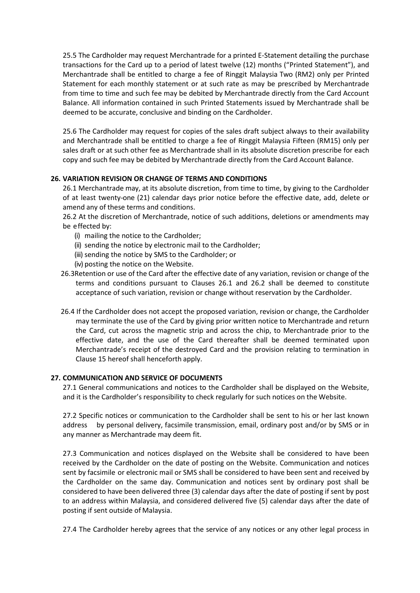25.5 The Cardholder may request Merchantrade for a printed E-Statement detailing the purchase transactions for the Card up to a period of latest twelve (12) months ("Printed Statement"), and Merchantrade shall be entitled to charge a fee of Ringgit Malaysia Two (RM2) only per Printed Statement for each monthly statement or at such rate as may be prescribed by Merchantrade from time to time and such fee may be debited by Merchantrade directly from the Card Account Balance. All information contained in such Printed Statements issued by Merchantrade shall be deemed to be accurate, conclusive and binding on the Cardholder.

25.6 The Cardholder may request for copies of the sales draft subject always to their availability and Merchantrade shall be entitled to charge a fee of Ringgit Malaysia Fifteen (RM15) only per sales draft or at such other fee as Merchantrade shall in its absolute discretion prescribe for each copy and such fee may be debited by Merchantrade directly from the Card Account Balance.

# **26. VARIATION REVISION OR CHANGE OF TERMS AND CONDITIONS**

26.1 Merchantrade may, at its absolute discretion, from time to time, by giving to the Cardholder of at least twenty-one (21) calendar days prior notice before the effective date, add, delete or amend any of these terms and conditions.

26.2 At the discretion of Merchantrade, notice of such additions, deletions or amendments may be effected by:

- (i) mailing the notice to the Cardholder;
- (ii) sending the notice by electronic mail to the Cardholder;
- (iii) sending the notice by SMS to the Cardholder; or
- (iv) posting the notice on the Website.
- 26.3Retention or use of the Card after the effective date of any variation, revision or change of the terms and conditions pursuant to Clauses 26.1 and 26.2 shall be deemed to constitute acceptance of such variation, revision or change without reservation by the Cardholder.
- 26.4 If the Cardholder does not accept the proposed variation, revision or change, the Cardholder may terminate the use of the Card by giving prior written notice to Merchantrade and return the Card, cut across the magnetic strip and across the chip, to Merchantrade prior to the effective date, and the use of the Card thereafter shall be deemed terminated upon Merchantrade's receipt of the destroyed Card and the provision relating to termination in Clause 15 hereof shall henceforth apply.

# **27. COMMUNICATION AND SERVICE OF DOCUMENTS**

27.1 General communications and notices to the Cardholder shall be displayed on the Website, and it is the Cardholder's responsibility to check regularly for such notices on the Website.

27.2 Specific notices or communication to the Cardholder shall be sent to his or her last known address by personal delivery, facsimile transmission, email, ordinary post and/or by SMS or in any manner as Merchantrade may deem fit.

27.3 Communication and notices displayed on the Website shall be considered to have been received by the Cardholder on the date of posting on the Website. Communication and notices sent by facsimile or electronic mail or SMS shall be considered to have been sent and received by the Cardholder on the same day. Communication and notices sent by ordinary post shall be considered to have been delivered three (3) calendar days after the date of posting if sent by post to an address within Malaysia, and considered delivered five (5) calendar days after the date of posting if sent outside of Malaysia.

27.4 The Cardholder hereby agrees that the service of any notices or any other legal process in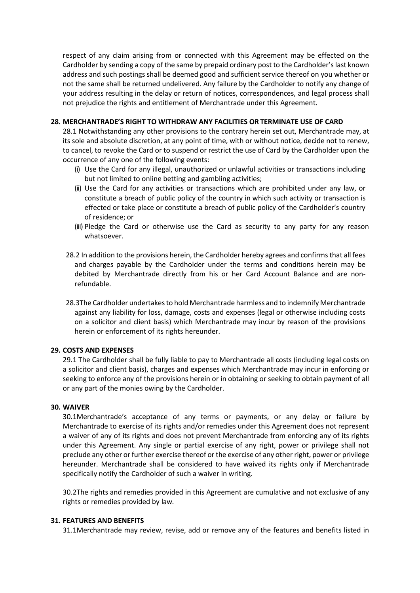respect of any claim arising from or connected with this Agreement may be effected on the Cardholder by sending a copy of the same by prepaid ordinary post to the Cardholder's last known address and such postings shall be deemed good and sufficient service thereof on you whether or not the same shall be returned undelivered. Any failure by the Cardholder to notify any change of your address resulting in the delay or return of notices, correspondences, and legal process shall not prejudice the rights and entitlement of Merchantrade under this Agreement.

# **28. MERCHANTRADE'S RIGHT TO WITHDRAW ANY FACILITIES OR TERMINATE USE OF CARD**

28.1 Notwithstanding any other provisions to the contrary herein set out, Merchantrade may, at its sole and absolute discretion, at any point of time, with or without notice, decide not to renew, to cancel, to revoke the Card or to suspend or restrict the use of Card by the Cardholder upon the occurrence of any one of the following events:

- (i) Use the Card for any illegal, unauthorized or unlawful activities or transactions including but not limited to online betting and gambling activities;
- (ii) Use the Card for any activities or transactions which are prohibited under any law, or constitute a breach of public policy of the country in which such activity or transaction is effected or take place or constitute a breach of public policy of the Cardholder's country of residence; or
- (iii) Pledge the Card or otherwise use the Card as security to any party for any reason whatsoever.
- 28.2 In addition to the provisions herein, the Cardholder hereby agrees and confirms that all fees and charges payable by the Cardholder under the terms and conditions herein may be debited by Merchantrade directly from his or her Card Account Balance and are nonrefundable.
- 28.3The Cardholder undertakes to hold Merchantrade harmless and to indemnify Merchantrade against any liability for loss, damage, costs and expenses (legal or otherwise including costs on a solicitor and client basis) which Merchantrade may incur by reason of the provisions herein or enforcement of its rights hereunder.

# **29. COSTS AND EXPENSES**

29.1 The Cardholder shall be fully liable to pay to Merchantrade all costs (including legal costs on a solicitor and client basis), charges and expenses which Merchantrade may incur in enforcing or seeking to enforce any of the provisions herein or in obtaining or seeking to obtain payment of all or any part of the monies owing by the Cardholder.

### **30. WAIVER**

30.1Merchantrade's acceptance of any terms or payments, or any delay or failure by Merchantrade to exercise of its rights and/or remedies under this Agreement does not represent a waiver of any of its rights and does not prevent Merchantrade from enforcing any of its rights under this Agreement. Any single or partial exercise of any right, power or privilege shall not preclude any other or further exercise thereof or the exercise of any other right, power or privilege hereunder. Merchantrade shall be considered to have waived its rights only if Merchantrade specifically notify the Cardholder of such a waiver in writing.

30.2The rights and remedies provided in this Agreement are cumulative and not exclusive of any rights or remedies provided by law.

### **31. FEATURES AND BENEFITS**

31.1Merchantrade may review, revise, add or remove any of the features and benefits listed in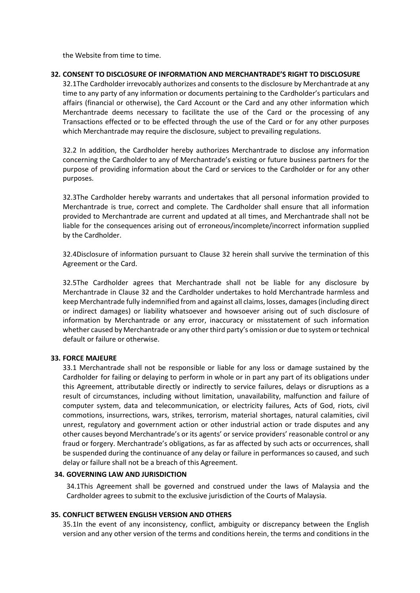the Website from time to time.

# **32. CONSENT TO DISCLOSURE OF INFORMATION AND MERCHANTRADE'S RIGHT TO DISCLOSURE**

32.1The Cardholder irrevocably authorizes and consents to the disclosure by Merchantrade at any time to any party of any information or documents pertaining to the Cardholder's particulars and affairs (financial or otherwise), the Card Account or the Card and any other information which Merchantrade deems necessary to facilitate the use of the Card or the processing of any Transactions effected or to be effected through the use of the Card or for any other purposes which Merchantrade may require the disclosure, subject to prevailing regulations.

32.2 In addition, the Cardholder hereby authorizes Merchantrade to disclose any information concerning the Cardholder to any of Merchantrade's existing or future business partners for the purpose of providing information about the Card or services to the Cardholder or for any other purposes.

32.3The Cardholder hereby warrants and undertakes that all personal information provided to Merchantrade is true, correct and complete. The Cardholder shall ensure that all information provided to Merchantrade are current and updated at all times, and Merchantrade shall not be liable for the consequences arising out of erroneous/incomplete/incorrect information supplied by the Cardholder.

32.4Disclosure of information pursuant to Clause 32 herein shall survive the termination of this Agreement or the Card.

32.5The Cardholder agrees that Merchantrade shall not be liable for any disclosure by Merchantrade in Clause 32 and the Cardholder undertakes to hold Merchantrade harmless and keep Merchantrade fully indemnified from and against all claims, losses, damages (including direct or indirect damages) or liability whatsoever and howsoever arising out of such disclosure of information by Merchantrade or any error, inaccuracy or misstatement of such information whether caused by Merchantrade or any other third party's omission or due to system or technical default or failure or otherwise.

# **33. FORCE MAJEURE**

33.1 Merchantrade shall not be responsible or liable for any loss or damage sustained by the Cardholder for failing or delaying to perform in whole or in part any part of its obligations under this Agreement, attributable directly or indirectly to service failures, delays or disruptions as a result of circumstances, including without limitation, unavailability, malfunction and failure of computer system, data and telecommunication, or electricity failures, Acts of God, riots, civil commotions, insurrections, wars, strikes, terrorism, material shortages, natural calamities, civil unrest, regulatory and government action or other industrial action or trade disputes and any other causes beyond Merchantrade's or its agents' or service providers' reasonable control or any fraud or forgery. Merchantrade's obligations, as far as affected by such acts or occurrences, shall be suspended during the continuance of any delay or failure in performances so caused, and such delay or failure shall not be a breach of this Agreement.

# **34. GOVERNING LAW AND JURISDICTION**

34.1This Agreement shall be governed and construed under the laws of Malaysia and the Cardholder agrees to submit to the exclusive jurisdiction of the Courts of Malaysia.

### **35. CONFLICT BETWEEN ENGLISH VERSION AND OTHERS**

35.1In the event of any inconsistency, conflict, ambiguity or discrepancy between the English version and any other version of the terms and conditions herein, the terms and conditions in the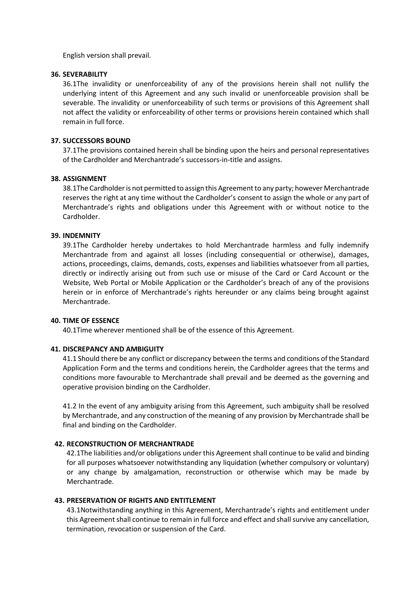English version shall prevail.

### **36. SEVERABILITY**

36.1The invalidity or unenforceability of any of the provisions herein shall not nullify the underlying intent of this Agreement and any such invalid or unenforceable provision shall be severable. The invalidity or unenforceability of such terms or provisions of this Agreement shall not affect the validity or enforceability of other terms or provisions herein contained which shall remain in full force.

### **37. SUCCESSORS BOUND**

37.1The provisions contained herein shall be binding upon the heirs and personal representatives of the Cardholder and Merchantrade's successors-in-title and assigns.

### **38. ASSIGNMENT**

38.1The Cardholder is not permitted to assign this Agreement to any party; however Merchantrade reserves the right at any time without the Cardholder's consent to assign the whole or any part of Merchantrade's rights and obligations under this Agreement with or without notice to the Cardholder.

# **39. INDEMNITY**

39.1The Cardholder hereby undertakes to hold Merchantrade harmless and fully indemnify Merchantrade from and against all losses (including consequential or otherwise), damages, actions, proceedings, claims, demands, costs, expenses and liabilities whatsoever from all parties, directly or indirectly arising out from such use or misuse of the Card or Card Account or the Website, Web Portal or Mobile Application or the Cardholder's breach of any of the provisions herein or in enforce of Merchantrade's rights hereunder or any claims being brought against Merchantrade.

#### **40. TIME OF ESSENCE**

40.1Time wherever mentioned shall be of the essence of this Agreement.

#### **41. DISCREPANCY AND AMBIGUITY**

41.1 Should there be any conflict or discrepancy between the terms and conditions of the Standard Application Form and the terms and conditions herein, the Cardholder agrees that the terms and conditions more favourable to Merchantrade shall prevail and be deemed as the governing and operative provision binding on the Cardholder.

41.2 In the event of any ambiguity arising from this Agreement, such ambiguity shall be resolved by Merchantrade, and any construction of the meaning of any provision by Merchantrade shall be final and binding on the Cardholder.

### **42. RECONSTRUCTION OF MERCHANTRADE**

42.1The liabilities and/or obligations under this Agreement shall continue to be valid and binding for all purposes whatsoever notwithstanding any liquidation (whether compulsory or voluntary) or any change by amalgamation, reconstruction or otherwise which may be made by Merchantrade.

# **43. PRESERVATION OF RIGHTS AND ENTITLEMENT**

43.1Notwithstanding anything in this Agreement, Merchantrade's rights and entitlement under this Agreement shall continue to remain in full force and effect and shall survive any cancellation, termination, revocation or suspension of the Card.